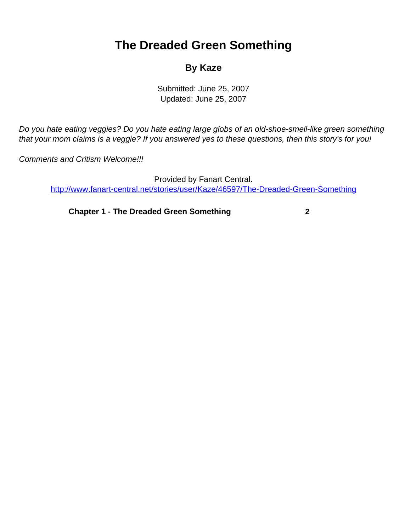## <span id="page-0-0"></span>**The Dreaded Green Something**

## **By Kaze**

Submitted: June 25, 2007 Updated: June 25, 2007

Do you hate eating veggies? Do you hate eating large globs of an old-shoe-smell-like green something that your mom claims is a veggie? If you answered yes to these questions, then this story's for you!

Comments and Critism Welcome!!!

Provided by Fanart Central. [http://www.fanart-central.net/stories/user/Kaze/46597/The-Dreaded-Green-Something](#page-0-0)

**[Chapter 1 - The Dreaded Green Something](#page-1-0) [2](#page-1-0)**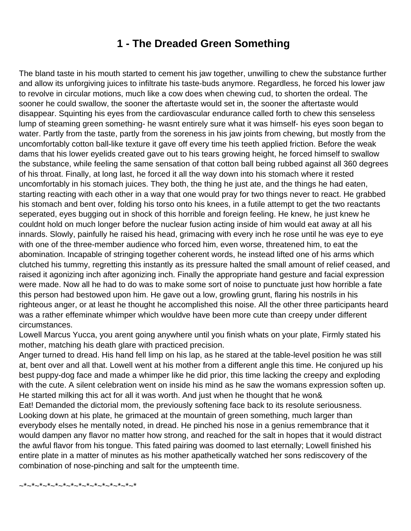## **1 - The Dreaded Green Something**

<span id="page-1-0"></span>The bland taste in his mouth started to cement his jaw together, unwilling to chew the substance further and allow its unforgiving juices to infiltrate his taste-buds anymore. Regardless, he forced his lower jaw to revolve in circular motions, much like a cow does when chewing cud, to shorten the ordeal. The sooner he could swallow, the sooner the aftertaste would set in, the sooner the aftertaste would disappear. Squinting his eyes from the cardiovascular endurance called forth to chew this senseless lump of steaming green something- he wasn t entirely sure what it was himself- his eyes soon began to water. Partly from the taste, partly from the soreness in his jaw joints from chewing, but mostly from the uncomfortably cotton ball-like texture it gave off every time his teeth applied friction. Before the weak dams that his lower eyelids created gave out to his tears growing height, he forced himself to swallow the substance, while feeling the same sensation of that cotton ball being rubbed against all 360 degrees of his throat. Finally, at long last, he forced it all the way down into his stomach where it rested uncomfortably in his stomach juices. They both, the thing he just ate, and the things he had eaten, starting reacting with each other in a way that one would pray for two things never to react. He grabbed his stomach and bent over, folding his torso onto his knees, in a futile attempt to get the two reactants seperated, eyes bugging out in shock of this horrible and foreign feeling. He knew, he just knew he couldn t hold on much longer before the nuclear fusion acting inside of him would eat away at all his innards. Slowly, painfully he raised his head, grimacing with every inch he rose until he was eye to eye with one of the three-member audience who forced him, even worse, threatened him, to eat the abomination. Incapable of stringing together coherent words, he instead lifted one of his arms which clutched his tummy, regretting this instantly as its pressure halted the small amount of relief ceased, and raised it agonizing inch after agonizing inch. Finally the appropriate hand gesture and facial expression were made. Now all he had to do was to make some sort of noise to punctuate just how horrible a fate this person had bestowed upon him. He gave out a low, growling grunt, flaring his nostrils in his righteous anger, or at least he thought he accomplished this noise. All the other three participants heard was a rather effeminate whimper which would ve have been more cute than creepy under different circumstances.

Lowell Marcus Yucca, you aren t going anywhere until you finish what s on your plate, Firmly stated his mother, matching his death glare with practiced precision.

Anger turned to dread. His hand fell limp on his lap, as he stared at the table-level position he was still at, bent over and all that. Lowell went at his mother from a different angle this time. He conjured up his best puppy-dog face and made a whimper like he did prior, this time lacking the creepy and exploding with the cute. A silent celebration went on inside his mind as he saw the woman s expression soften up. He started milking this act for all it was worth. And just when he thought that he won&

Eat! Demanded the dictorial mom, the previously softening face back to its resolute seriousness. Looking down at his plate, he grimaced at the mountain of green something, much larger than everybody else s he mentally noted, in dread. He pinched his nose in a genius remembrance that it would dampen any flavor no matter how strong, and reached for the salt in hopes that it would distract the awful flavor from his tongue. This fated pairing was doomed to last eternally; Lowell finished his entire plate in a matter of minutes as his mother apathetically watched her son s rediscovery of the combination of nose-pinching and salt for the umpteenth time.

~\*~\*~\*~\*~\*~\*~\*~\*~\*~\*~\*~\*~\*~\*~\*